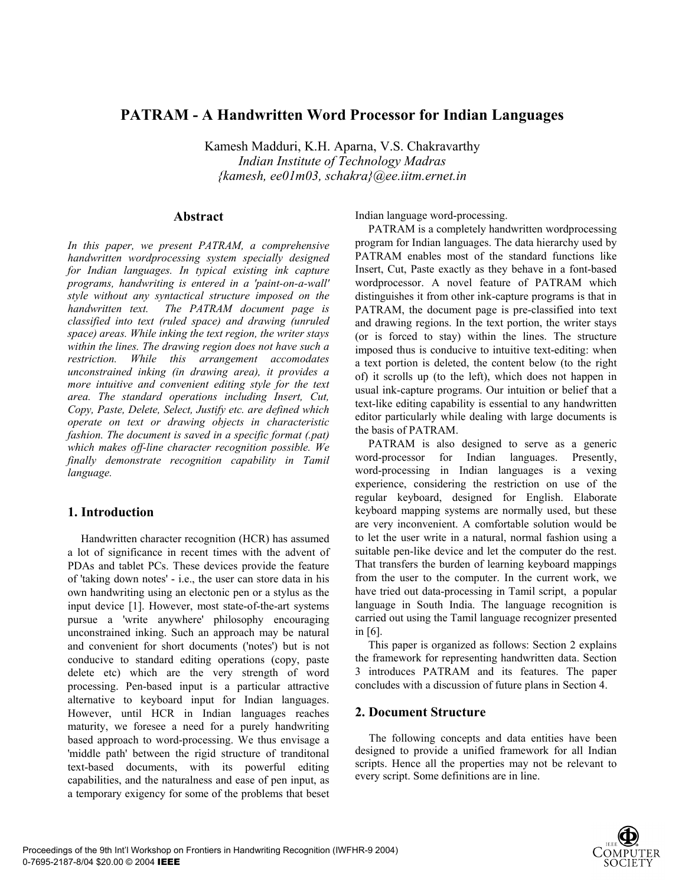# **PATRAM - A Handwritten Word Processor for Indian Languages**

Kamesh Madduri, K.H. Aparna, V.S. Chakravarthy *Indian Institute of Technology Madras {kamesh, ee01m03, schakra}@ee.iitm.ernet.in*

#### **Abstract**

*In this paper, we present PATRAM, a comprehensive handwritten wordprocessing system specially designed for Indian languages. In typical existing ink capture programs, handwriting is entered in a 'paint-on-a-wall' style without any syntactical structure imposed on the handwritten text. The PATRAM document page is classified into text (ruled space) and drawing (unruled space) areas. While inking the text region, the writer stays within the lines. The drawing region does not have such a restriction. While this arrangement accomodates unconstrained inking (in drawing area), it provides a more intuitive and convenient editing style for the text area. The standard operations including Insert, Cut, Copy, Paste, Delete, Select, Justify etc. are defined which operate on text or drawing objects in characteristic fashion. The document is saved in a specific format (.pat) which makes off-line character recognition possible. We finally demonstrate recognition capability in Tamil language.*

## **1. Introduction**

Handwritten character recognition (HCR) has assumed a lot of significance in recent times with the advent of PDAs and tablet PCs. These devices provide the feature of 'taking down notes' - i.e., the user can store data in his own handwriting using an electonic pen or a stylus as the input device [1]. However, most state-of-the-art systems pursue a 'write anywhere' philosophy encouraging unconstrained inking. Such an approach may be natural and convenient for short documents ('notes') but is not conducive to standard editing operations (copy, paste delete etc) which are the very strength of word processing. Pen-based input is a particular attractive alternative to keyboard input for Indian languages. However, until HCR in Indian languages reaches maturity, we foresee a need for a purely handwriting based approach to word-processing. We thus envisage a 'middle path' between the rigid structure of tranditonal text-based documents, with its powerful editing capabilities, and the naturalness and ease of pen input, as a temporary exigency for some of the problems that beset Indian language word-processing.

PATRAM is a completely handwritten wordprocessing program for Indian languages. The data hierarchy used by PATRAM enables most of the standard functions like Insert, Cut, Paste exactly as they behave in a font-based wordprocessor. A novel feature of PATRAM which distinguishes it from other ink-capture programs is that in PATRAM, the document page is pre-classified into text and drawing regions. In the text portion, the writer stays (or is forced to stay) within the lines. The structure imposed thus is conducive to intuitive text-editing: when a text portion is deleted, the content below (to the right of) it scrolls up (to the left), which does not happen in usual ink-capture programs. Our intuition or belief that a text-like editing capability is essential to any handwritten editor particularly while dealing with large documents is the basis of PATRAM.

PATRAM is also designed to serve as a generic word-processor for Indian languages. Presently, word-processing in Indian languages is a vexing experience, considering the restriction on use of the regular keyboard, designed for English. Elaborate keyboard mapping systems are normally used, but these are very inconvenient. A comfortable solution would be to let the user write in a natural, normal fashion using a suitable pen-like device and let the computer do the rest. That transfers the burden of learning keyboard mappings from the user to the computer. In the current work, we have tried out data-processing in Tamil script, a popular language in South India. The language recognition is carried out using the Tamil language recognizer presented in [6].

This paper is organized as follows: Section 2 explains the framework for representing handwritten data. Section 3 introduces PATRAM and its features. The paper concludes with a discussion of future plans in Section 4.

## **2. Document Structure**

The following concepts and data entities have been designed to provide a unified framework for all Indian scripts. Hence all the properties may not be relevant to every script. Some definitions are in line.

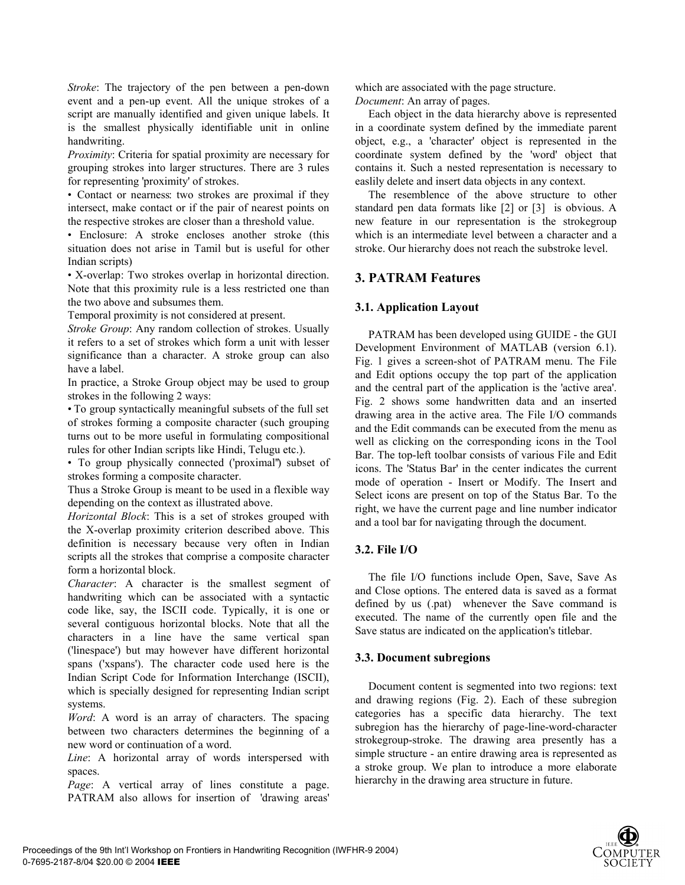*Stroke*: The trajectory of the pen between a pen-down event and a pen-up event. All the unique strokes of a script are manually identified and given unique labels. It is the smallest physically identifiable unit in online handwriting.

*Proximity*: Criteria for spatial proximity are necessary for grouping strokes into larger structures. There are 3 rules for representing 'proximity' of strokes.

• Contact or nearness: two strokes are proximal if they intersect, make contact or if the pair of nearest points on the respective strokes are closer than a threshold value.

• Enclosure: A stroke encloses another stroke (this situation does not arise in Tamil but is useful for other Indian scripts)

• X-overlap: Two strokes overlap in horizontal direction. Note that this proximity rule is a less restricted one than the two above and subsumes them.

Temporal proximity is not considered at present.

*Stroke Group*: Any random collection of strokes. Usually it refers to a set of strokes which form a unit with lesser significance than a character. A stroke group can also have a label.

In practice, a Stroke Group object may be used to group strokes in the following 2 ways:

• To group syntactically meaningful subsets of the full set of strokes forming a composite character (such grouping turns out to be more useful in formulating compositional rules for other Indian scripts like Hindi, Telugu etc.).

• To group physically connected ('proximal'') subset of strokes forming a composite character.

Thus a Stroke Group is meant to be used in a flexible way depending on the context as illustrated above.

*Horizontal Block*: This is a set of strokes grouped with the X-overlap proximity criterion described above. This definition is necessary because very often in Indian scripts all the strokes that comprise a composite character form a horizontal block.

*Character*: A character is the smallest segment of handwriting which can be associated with a syntactic code like, say, the ISCII code. Typically, it is one or several contiguous horizontal blocks. Note that all the characters in a line have the same vertical span ('linespace') but may however have different horizontal spans ('xspans'). The character code used here is the Indian Script Code for Information Interchange (ISCII), which is specially designed for representing Indian script systems.

*Word*: A word is an array of characters. The spacing between two characters determines the beginning of a new word or continuation of a word.

*Line*: A horizontal array of words interspersed with spaces.

*Page*: A vertical array of lines constitute a page. PATRAM also allows for insertion of 'drawing areas'

which are associated with the page structure. *Document*: An array of pages.

Each object in the data hierarchy above is represented in a coordinate system defined by the immediate parent object, e.g., a 'character' object is represented in the coordinate system defined by the 'word' object that contains it. Such a nested representation is necessary to easlily delete and insert data objects in any context.

The resemblence of the above structure to other standard pen data formats like [2] or [3] is obvious. A new feature in our representation is the strokegroup which is an intermediate level between a character and a stroke. Our hierarchy does not reach the substroke level.

## **3. PATRAM Features**

### **3.1. Application Layout**

PATRAM has been developed using GUIDE - the GUI Development Environment of MATLAB (version 6.1). Fig. 1 gives a screen-shot of PATRAM menu. The File and Edit options occupy the top part of the application and the central part of the application is the 'active area'. Fig. 2 shows some handwritten data and an inserted drawing area in the active area. The File I/O commands and the Edit commands can be executed from the menu as well as clicking on the corresponding icons in the Tool Bar. The top-left toolbar consists of various File and Edit icons. The 'Status Bar' in the center indicates the current mode of operation - Insert or Modify. The Insert and Select icons are present on top of the Status Bar. To the right, we have the current page and line number indicator and a tool bar for navigating through the document.

### **3.2. File I/O**

The file I/O functions include Open, Save, Save As and Close options. The entered data is saved as a format defined by us (.pat) whenever the Save command is executed. The name of the currently open file and the Save status are indicated on the application's titlebar.

#### **3.3. Document subregions**

Document content is segmented into two regions: text and drawing regions (Fig. 2). Each of these subregion categories has a specific data hierarchy. The text subregion has the hierarchy of page-line-word-character strokegroup-stroke. The drawing area presently has a simple structure - an entire drawing area is represented as a stroke group. We plan to introduce a more elaborate hierarchy in the drawing area structure in future.

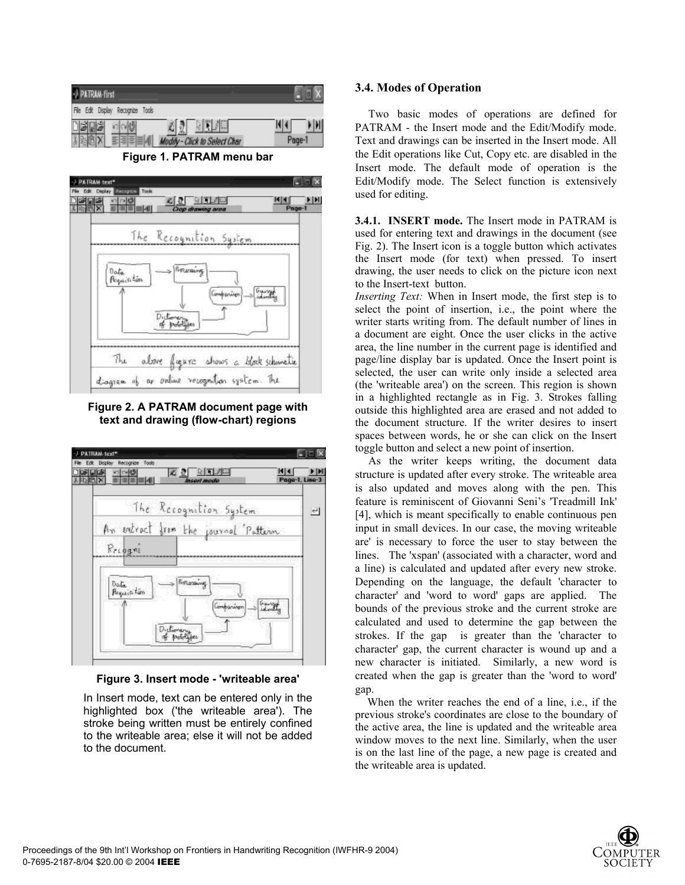



Dict

**Figure 2. A PATRAM document page with text and drawing (flow-chart) regions**



**Figure 3. Insert mode - 'writeable area'**

In Insert mode, text can be entered only in the highlighted box ('the writeable area'). The stroke being written must be entirely confined to the writeable area; else it will not be added to the document.

#### **3.4. Modes of Operation**

Two basic modes of operations are defined for PATRAM - the Insert mode and the Edit/Modify mode. Text and drawings can be inserted in the Insert mode. All the Edit operations like Cut, Copy etc. are disabled in the Insert mode. The default mode of operation is the Edit/Modify mode. The Select function is extensively used for editing.

**3.4.1. INSERT mode.** The Insert mode in PATRAM is used for entering text and drawings in the document (see Fig. 2). The Insert icon is a toggle button which activates the Insert mode (for text) when pressed. To insert drawing, the user needs to click on the picture icon next to the Insert-text button.

*Inserting Text:* When in Insert mode, the first step is to select the point of insertion, i.e., the point where the writer starts writing from. The default number of lines in a document are eight. Once the user clicks in the active area, the line number in the current page is identified and page/line display bar is updated. Once the Insert point is selected, the user can write only inside a selected area (the 'writeable area') on the screen. This region is shown in a highlighted rectangle as in Fig. 3. Strokes falling outside this highlighted area are erased and not added to the document structure. If the writer desires to insert spaces between words, he or she can click on the Insert toggle button and select a new point of insertion.

As the writer keeps writing, the document data structure is updated after every stroke. The writeable area is also updated and moves along with the pen. This feature is reminiscent of Giovanni Seni's 'Treadmill Ink' [4], which is meant specifically to enable continuous pen input in small devices. In our case, the moving writeable are' is necessary to force the user to stay between the lines. The 'xspan' (associated with a character, word and a line) is calculated and updated after every new stroke. Depending on the language, the default 'character to character' and 'word to word' gaps are applied. The bounds of the previous stroke and the current stroke are calculated and used to determine the gap between the strokes. If the gap is greater than the 'character to character' gap, the current character is wound up and a new character is initiated. Similarly, a new word is created when the gap is greater than the 'word to word' gap.

When the writer reaches the end of a line, i.e., if the previous stroke's coordinates are close to the boundary of the active area, the line is updated and the writeable area window moves to the next line. Similarly, when the user is on the last line of the page, a new page is created and the writeable area is updated.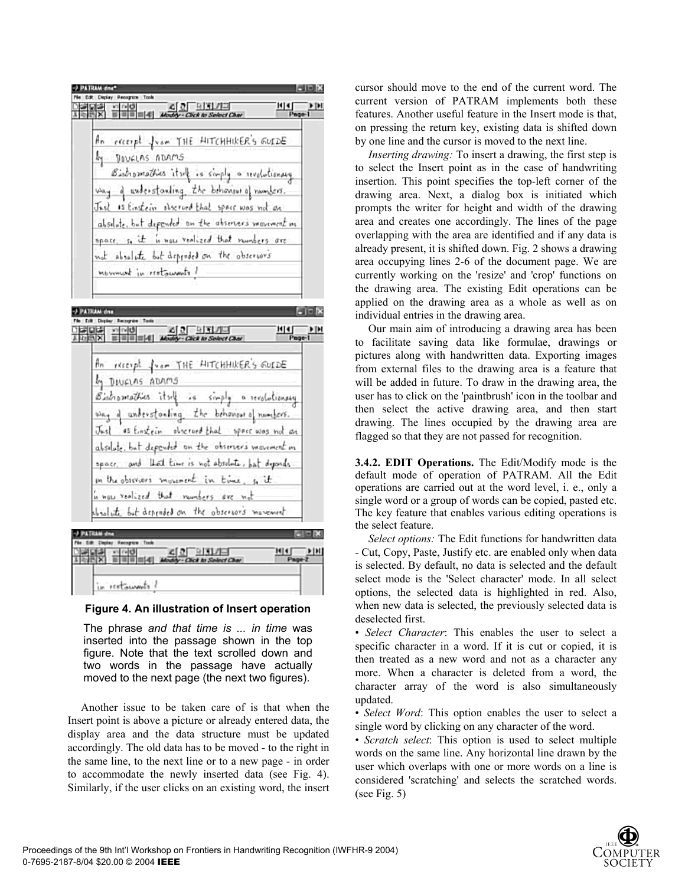|            | hy DouGLAS ADAMS                                             |                          | An effected Juan THE HITCHHIKER's GUIDE.<br>Bistromatries itself is simply a revolutionary                |                        |
|------------|--------------------------------------------------------------|--------------------------|-----------------------------------------------------------------------------------------------------------|------------------------|
|            |                                                              |                          | way of understanding the behaviour of numbers.<br>Just 15 Einstein abserved that space was not an         |                        |
|            |                                                              |                          | absolute, but depended on the observers movement in<br>space 5. it is now realized that numbers are       |                        |
|            |                                                              | insumont in restaurants! | not absolute but depended on the observors                                                                |                        |
|            |                                                              |                          |                                                                                                           |                        |
| PATRAM-dns |                                                              |                          |                                                                                                           |                        |
|            | File Edit Display Recognize Tools<br>이어대다. 이어요<br>시어대서 특별들리다 |                          | $0$ $\sqrt{2}$ $9$ $\sqrt{3}$ $\sqrt{12}$<br>Modify - Click to Select Char                                | FIEL<br>на п<br>Page-1 |
|            | by DOUGLAS ADAMS                                             |                          | An Increme from THE HITCHHIKER's GUIDE                                                                    |                        |
|            |                                                              |                          | Bistromathics itself is simply a revolutionary<br>way of understanling. The behaviour of numbers.         |                        |
|            |                                                              |                          | Just as Einstein observed that space was not an                                                           |                        |
|            |                                                              |                          | absolute, but depended on the observer's movement in<br>space, and that time is not absolute, but dypeds. |                        |
|            |                                                              |                          | in the observers movement in time, so it<br>is now realized that numbers are not                          |                        |

**Figure 4. An illustration of Insert operation**

The phrase *and that time is ... in time* was inserted into the passage shown in the top figure. Note that the text scrolled down and two words in the passage have actually moved to the next page (the next two figures).

Another issue to be taken care of is that when the Insert point is above a picture or already entered data, the display area and the data structure must be updated accordingly. The old data has to be moved - to the right in the same line, to the next line or to a new page - in order to accommodate the newly inserted data (see Fig. 4). Similarly, if the user clicks on an existing word, the insert

cursor should move to the end of the current word. The current version of PATRAM implements both these features. Another useful feature in the Insert mode is that, on pressing the return key, existing data is shifted down by one line and the cursor is moved to the next line.

*Inserting drawing:* To insert a drawing, the first step is to select the Insert point as in the case of handwriting insertion. This point specifies the top-left corner of the drawing area. Next, a dialog box is initiated which prompts the writer for height and width of the drawing area and creates one accordingly. The lines of the page overlapping with the area are identified and if any data is already present, it is shifted down. Fig. 2 shows a drawing area occupying lines 2-6 of the document page. We are currently working on the 'resize' and 'crop' functions on the drawing area. The existing Edit operations can be applied on the drawing area as a whole as well as on individual entries in the drawing area.

Our main aim of introducing a drawing area has been to facilitate saving data like formulae, drawings or pictures along with handwritten data. Exporting images from external files to the drawing area is a feature that will be added in future. To draw in the drawing area, the user has to click on the 'paintbrush' icon in the toolbar and then select the active drawing area, and then start drawing. The lines occupied by the drawing area are flagged so that they are not passed for recognition.

**3.4.2. EDIT Operations.** The Edit/Modify mode is the default mode of operation of PATRAM. All the Edit operations are carried out at the word level, i. e., only a single word or a group of words can be copied, pasted etc. The key feature that enables various editing operations is the select feature.

*Select options:* The Edit functions for handwritten data - Cut, Copy, Paste, Justify etc. are enabled only when data is selected. By default, no data is selected and the default select mode is the 'Select character' mode. In all select options, the selected data is highlighted in red. Also, when new data is selected, the previously selected data is deselected first.

• *Select Character*: This enables the user to select a specific character in a word. If it is cut or copied, it is then treated as a new word and not as a character any more. When a character is deleted from a word, the character array of the word is also simultaneously updated.

• *Select Word*: This option enables the user to select a single word by clicking on any character of the word.

• *Scratch select*: This option is used to select multiple words on the same line. Any horizontal line drawn by the user which overlaps with one or more words on a line is considered 'scratching' and selects the scratched words. (see Fig.  $5$ )

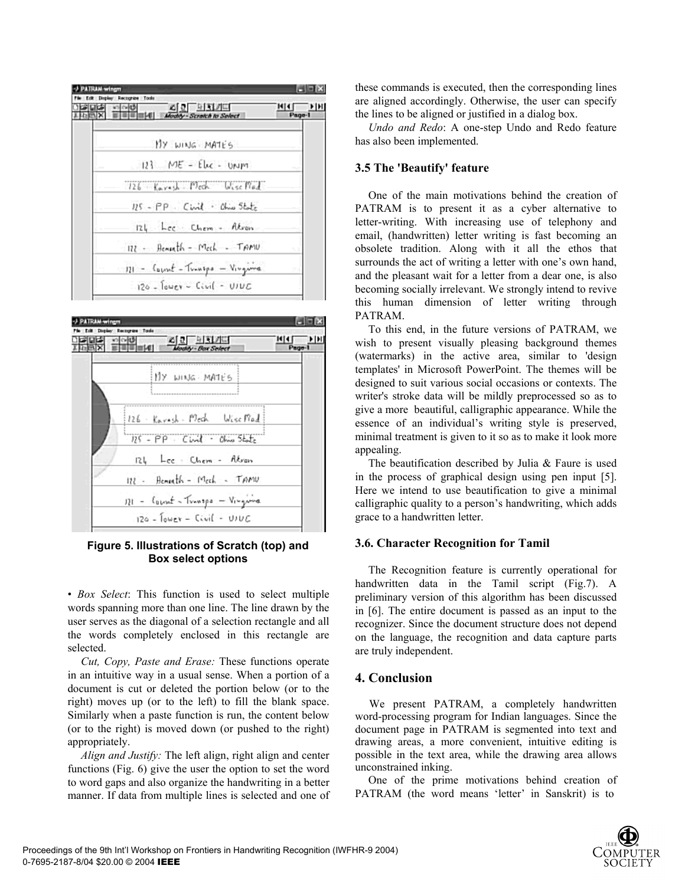| Display Recognize Tools<br>$\frac{C}{C}$ $\frac{C}{C}$ $\frac{C}{C}$ $\frac{C}{C}$ $\frac{C}{C}$ $\frac{C}{C}$ |        |
|----------------------------------------------------------------------------------------------------------------|--------|
|                                                                                                                | Page-1 |
| MY WING MATES                                                                                                  |        |
| $123$ ME - Elic - UNM                                                                                          |        |
| 126 Karesh Mech Wise Med                                                                                       |        |
| $115 - PP$ Civil Chio State                                                                                    |        |
| 124 Lee Chem - Atron                                                                                           |        |
| $m -$ Hemith - Mech - TAMU                                                                                     |        |
| $111 -$ Caunt - Transpa - Vivging                                                                              |        |
| $120 - \sqrt{20} = 120$                                                                                        |        |



#### **Figure 5. Illustrations of Scratch (top) and Box select options**

• *Box Select*: This function is used to select multiple words spanning more than one line. The line drawn by the user serves as the diagonal of a selection rectangle and all the words completely enclosed in this rectangle are selected.

*Cut, Copy, Paste and Erase:* These functions operate in an intuitive way in a usual sense. When a portion of a document is cut or deleted the portion below (or to the right) moves up (or to the left) to fill the blank space. Similarly when a paste function is run, the content below (or to the right) is moved down (or pushed to the right) appropriately.

*Align and Justify:* The left align, right align and center functions (Fig. 6) give the user the option to set the word to word gaps and also organize the handwriting in a better manner. If data from multiple lines is selected and one of these commands is executed, then the corresponding lines are aligned accordingly. Otherwise, the user can specify the lines to be aligned or justified in a dialog box.

*Undo and Redo*: A one-step Undo and Redo feature has also been implemented.

## **3.5 The 'Beautify' feature**

One of the main motivations behind the creation of PATRAM is to present it as a cyber alternative to letter-writing. With increasing use of telephony and email, (handwritten) letter writing is fast becoming an obsolete tradition. Along with it all the ethos that surrounds the act of writing a letter with one's own hand, and the pleasant wait for a letter from a dear one, is also becoming socially irrelevant. We strongly intend to revive this human dimension of letter writing through PATRAM.

To this end, in the future versions of PATRAM, we wish to present visually pleasing background themes (watermarks) in the active area, similar to 'design templates' in Microsoft PowerPoint. The themes will be designed to suit various social occasions or contexts. The writer's stroke data will be mildly preprocessed so as to give a more beautiful, calligraphic appearance. While the essence of an individual's writing style is preserved, minimal treatment is given to it so as to make it look more appealing.

The beautification described by Julia & Faure is used in the process of graphical design using pen input [5]. Here we intend to use beautification to give a minimal calligraphic quality to a person's handwriting, which adds grace to a handwritten letter.

## **3.6. Character Recognition for Tamil**

The Recognition feature is currently operational for handwritten data in the Tamil script (Fig.7). A preliminary version of this algorithm has been discussed in [6]. The entire document is passed as an input to the recognizer. Since the document structure does not depend on the language, the recognition and data capture parts are truly independent.

## **4. Conclusion**

We present PATRAM, a completely handwritten word-processing program for Indian languages. Since the document page in PATRAM is segmented into text and drawing areas, a more convenient, intuitive editing is possible in the text area, while the drawing area allows unconstrained inking.

One of the prime motivations behind creation of PATRAM (the word means 'letter' in Sanskrit) is to